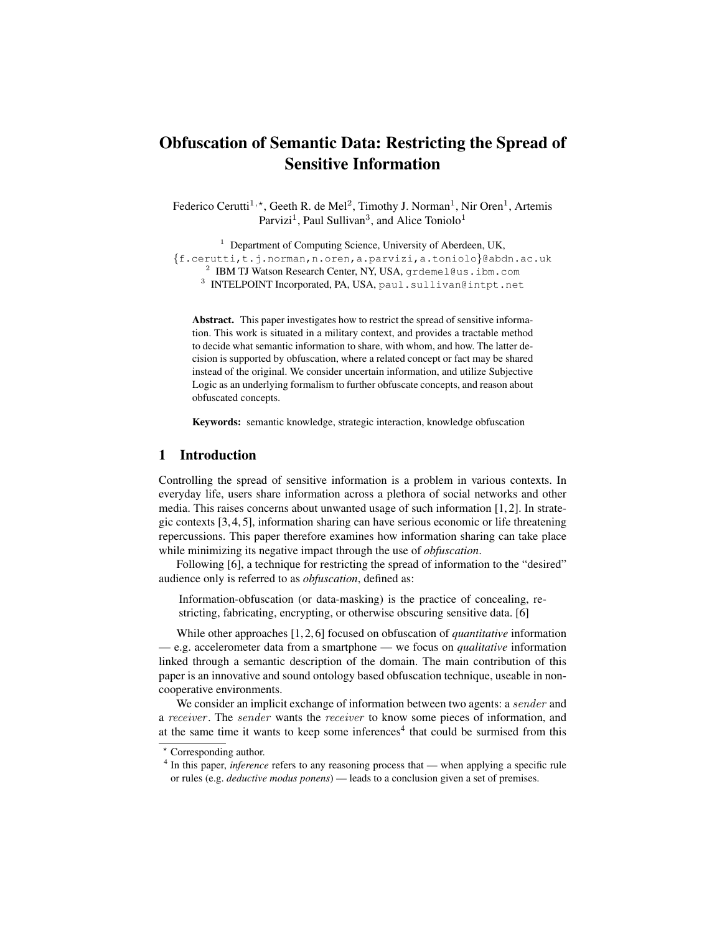# <span id="page-0-1"></span>Obfuscation of Semantic Data: Restricting the Spread of Sensitive Information

Federico Cerutti<sup>1,\*</sup>, Geeth R. de Mel<sup>2</sup>, Timothy J. Norman<sup>1</sup>, Nir Oren<sup>1</sup>, Artemis Parvizi<sup>1</sup>, Paul Sullivan<sup>3</sup>, and Alice Toniolo<sup>1</sup>

<sup>1</sup> Department of Computing Science, University of Aberdeen, UK, {f.cerutti,t.j.norman,n.oren,a.parvizi,a.toniolo}@abdn.ac.uk  $^2$  IBM TJ Watson Research Center, NY, USA, grdemel@us.ibm.com

<sup>3</sup> INTELPOINT Incorporated, PA, USA, paul.sullivan@intpt.net

Abstract. This paper investigates how to restrict the spread of sensitive information. This work is situated in a military context, and provides a tractable method to decide what semantic information to share, with whom, and how. The latter decision is supported by obfuscation, where a related concept or fact may be shared instead of the original. We consider uncertain information, and utilize Subjective Logic as an underlying formalism to further obfuscate concepts, and reason about obfuscated concepts.

Keywords: semantic knowledge, strategic interaction, knowledge obfuscation

# 1 Introduction

Controlling the spread of sensitive information is a problem in various contexts. In everyday life, users share information across a plethora of social networks and other media. This raises concerns about unwanted usage of such information [\[1,](#page-11-0) [2\]](#page-11-1). In strategic contexts [\[3,](#page-11-2) [4,](#page-11-3) [5\]](#page-11-4), information sharing can have serious economic or life threatening repercussions. This paper therefore examines how information sharing can take place while minimizing its negative impact through the use of *obfuscation*.

Following [\[6\]](#page-11-5), a technique for restricting the spread of information to the "desired" audience only is referred to as *obfuscation*, defined as:

Information-obfuscation (or data-masking) is the practice of concealing, restricting, fabricating, encrypting, or otherwise obscuring sensitive data. [\[6\]](#page-11-5)

While other approaches [\[1,](#page-11-0) [2,](#page-11-1) [6\]](#page-11-5) focused on obfuscation of *quantitative* information — e.g. accelerometer data from a smartphone — we focus on *qualitative* information linked through a semantic description of the domain. The main contribution of this paper is an innovative and sound ontology based obfuscation technique, useable in noncooperative environments.

We consider an implicit exchange of information between two agents: a sender and a receiver . The sender wants the receiver to know some pieces of information, and at the same time it wants to keep some inferences<sup>[4](#page-0-0)</sup> that could be surmised from this

<sup>?</sup> Corresponding author.

<span id="page-0-0"></span><sup>&</sup>lt;sup>4</sup> In this paper, *inference* refers to any reasoning process that — when applying a specific rule or rules (e.g. *deductive modus ponens*) — leads to a conclusion given a set of premises.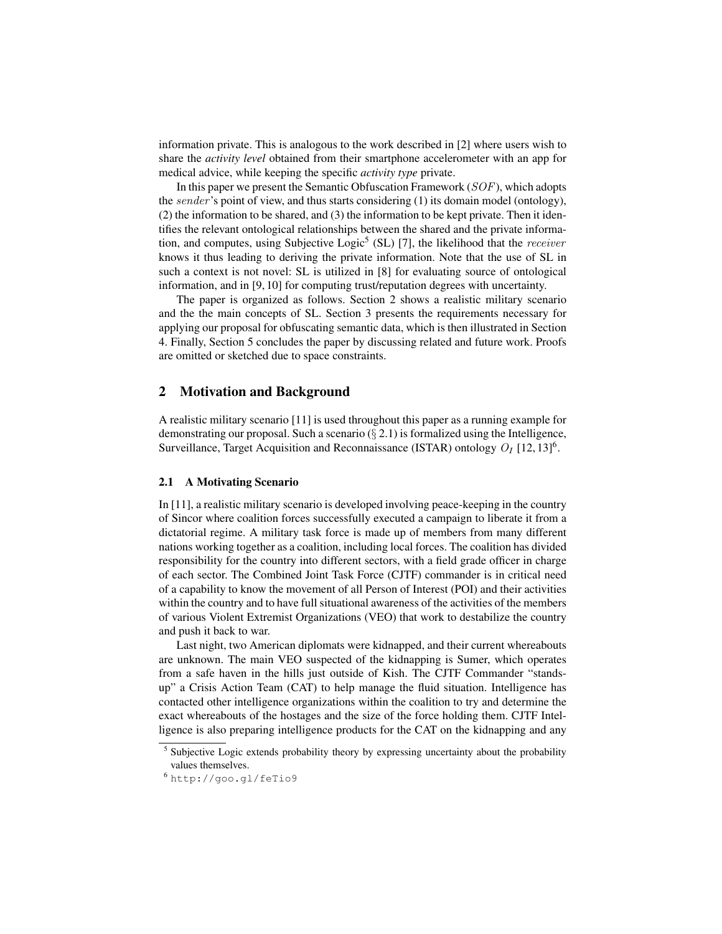information private. This is analogous to the work described in [\[2\]](#page-11-1) where users wish to share the *activity level* obtained from their smartphone accelerometer with an app for medical advice, while keeping the specific *activity type* private.

In this paper we present the Semantic Obfuscation Framework  $(SOF)$ , which adopts the sender's point of view, and thus starts considering (1) its domain model (ontology), (2) the information to be shared, and (3) the information to be kept private. Then it identifies the relevant ontological relationships between the shared and the private informa-tion, and computes, using Subjective Logic<sup>[5](#page-1-0)</sup> (SL) [\[7\]](#page-11-6), the likelihood that the *receiver* knows it thus leading to deriving the private information. Note that the use of SL in such a context is not novel: SL is utilized in [\[8\]](#page-11-7) for evaluating source of ontological information, and in [\[9,](#page-11-8) [10\]](#page-11-9) for computing trust/reputation degrees with uncertainty.

The paper is organized as follows. Section [2](#page-1-1) shows a realistic military scenario and the the main concepts of SL. Section [3](#page-4-0) presents the requirements necessary for applying our proposal for obfuscating semantic data, which is then illustrated in Section [4.](#page-7-0) Finally, Section [5](#page-9-0) concludes the paper by discussing related and future work. Proofs are omitted or sketched due to space constraints.

## <span id="page-1-1"></span>2 Motivation and Background

A realistic military scenario [\[11\]](#page-11-10) is used throughout this paper as a running example for demonstrating our proposal. Such a scenario  $(\S 2.1)$  $(\S 2.1)$  is formalized using the Intelligence, Surveillance, Target Acquisition and Reconnaissance (ISTAR) ontology  $O_I$  [\[12,](#page-11-11) [13\]](#page-11-12)<sup>[6](#page-1-3)</sup>.

#### <span id="page-1-2"></span>2.1 A Motivating Scenario

In [\[11\]](#page-11-10), a realistic military scenario is developed involving peace-keeping in the country of Sincor where coalition forces successfully executed a campaign to liberate it from a dictatorial regime. A military task force is made up of members from many different nations working together as a coalition, including local forces. The coalition has divided responsibility for the country into different sectors, with a field grade officer in charge of each sector. The [Combined Joint Task Force \(CJTF\)](#page-0-1) commander is in critical need of a capability to know the movement of all [Person of Interest \(POI\)](#page-0-1) and their activities within the country and to have full situational awareness of the activities of the members of various [Violent Extremist Organizations \(VEO\)](#page-0-1) that work to destabilize the country and push it back to war.

Last night, two American diplomats were kidnapped, and their current whereabouts are unknown. The main [VEO](#page-0-1) suspected of the kidnapping is Sumer, which operates from a safe haven in the hills just outside of Kish. The [CJTF](#page-0-1) Commander "standsup" a [Crisis Action Team \(CAT\)](#page-0-1) to help manage the fluid situation. Intelligence has contacted other intelligence organizations within the coalition to try and determine the exact whereabouts of the hostages and the size of the force holding them. [CJTF](#page-0-1) Intelligence is also preparing intelligence products for the [CAT](#page-0-1) on the kidnapping and any

<span id="page-1-0"></span><sup>&</sup>lt;sup>5</sup> Subjective Logic extends probability theory by expressing uncertainty about the probability values themselves.

<span id="page-1-3"></span><sup>6</sup> <http://goo.gl/feTio9>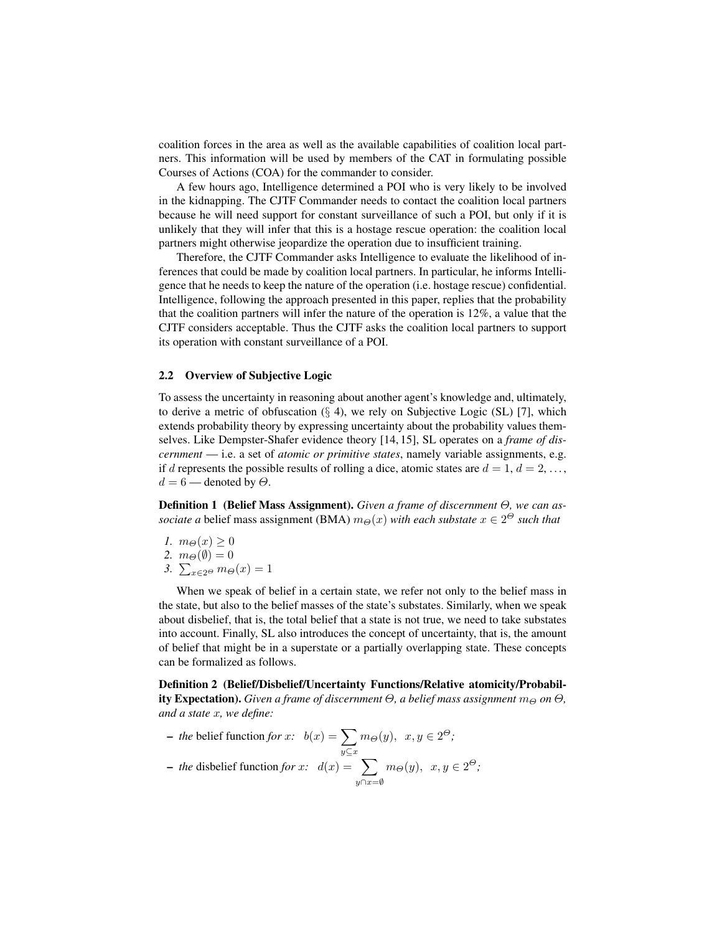coalition forces in the area as well as the available capabilities of coalition local partners. This information will be used by members of the [CAT](#page-0-1) in formulating possible [Courses of Actions \(COA\)](#page-0-1) for the commander to consider.

A few hours ago, Intelligence determined a [POI](#page-0-1) who is very likely to be involved in the kidnapping. The [CJTF](#page-0-1) Commander needs to contact the coalition local partners because he will need support for constant surveillance of such a [POI,](#page-0-1) but only if it is unlikely that they will infer that this is a hostage rescue operation: the coalition local partners might otherwise jeopardize the operation due to insufficient training.

Therefore, the [CJTF](#page-0-1) Commander asks Intelligence to evaluate the likelihood of inferences that could be made by coalition local partners. In particular, he informs Intelligence that he needs to keep the nature of the operation (i.e. hostage rescue) confidential. Intelligence, following the approach presented in this paper, replies that the probability that the coalition partners will infer the nature of the operation is 12%, a value that the [CJTF](#page-0-1) considers acceptable. Thus the [CJTF](#page-0-1) asks the coalition local partners to support its operation with constant surveillance of a [POI.](#page-0-1)

#### 2.2 Overview of Subjective Logic

To assess the uncertainty in reasoning about another agent's knowledge and, ultimately, to derive a metric of obfuscation  $(\S 4)$  $(\S 4)$ , we rely on Subjective Logic (SL) [\[7\]](#page-11-6), which extends probability theory by expressing uncertainty about the probability values themselves. Like Dempster-Shafer evidence theory [\[14,](#page-11-13) [15\]](#page-11-14), SL operates on a *frame of discernment* — i.e. a set of *atomic or primitive states*, namely variable assignments, e.g. if d represents the possible results of rolling a dice, atomic states are  $d = 1, d = 2, \ldots$ ,  $d = 6$  — denoted by  $\Theta$ .

Definition 1 (Belief Mass Assignment). *Given a frame of discernment* Θ*, we can associate a* belief mass assignment (BMA)  $m_{\Theta}(x)$  *with each substate*  $x \in 2^{\Theta}$  *such that* 

- *1.*  $m_{\Theta}(x) \geq 0$
- 2.  $m_{\Theta}(\emptyset) = 0$
- 3.  $\sum_{x \in 2^\Theta} m_\Theta(x) = 1$

When we speak of belief in a certain state, we refer not only to the belief mass in the state, but also to the belief masses of the state's substates. Similarly, when we speak about disbelief, that is, the total belief that a state is not true, we need to take substates into account. Finally, SL also introduces the concept of uncertainty, that is, the amount of belief that might be in a superstate or a partially overlapping state. These concepts can be formalized as follows.

Definition 2 (Belief/Disbelief/Uncertainty Functions/Relative atomicity/Probability Expectation). *Given a frame of discernment*  $\Theta$ , a belief mass assignment  $m_{\Theta}$  on  $\Theta$ , *and a state* x*, we define:*

*– the* belief function *for*  $x$ :  $b(x) = \sum$  $y\mathcal{\subseteq}x$  $m_{\Theta}(y)$ ,  $x, y \in 2^{\Theta}$ ; *– the* disbelief function *for*  $x$ :  $d(x) = \sum$  $y \cap x = \emptyset$  $m_{\Theta}(y)$ ,  $x, y \in 2^{\Theta}$ ;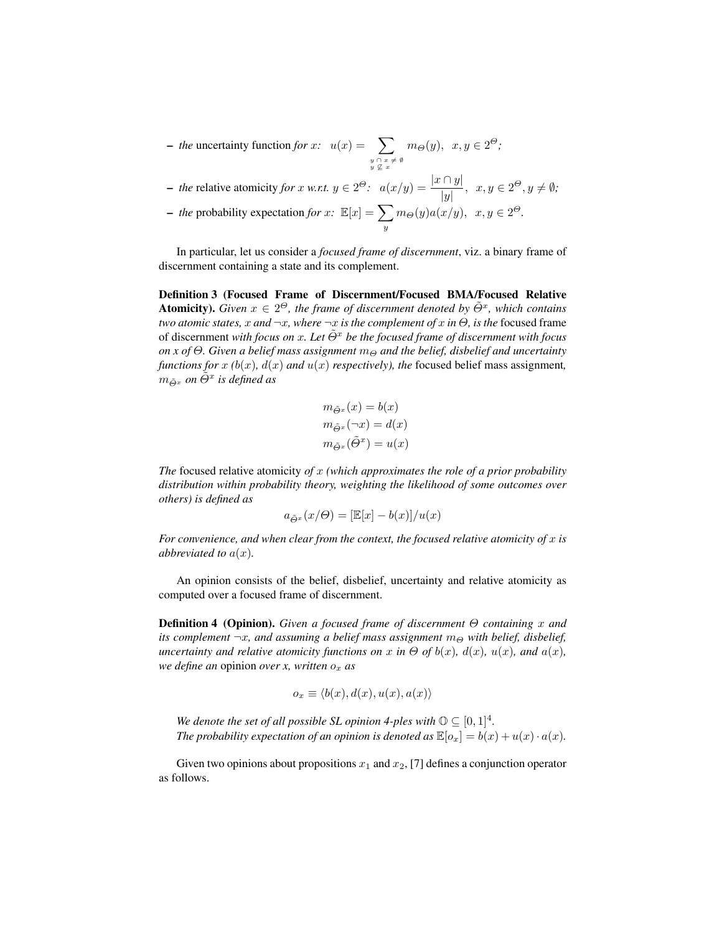*– the* uncertainty function *for*  $x$ *:*  $u(x) = \sum$  $y \cap x \neq \emptyset$ <br> $y \nsubseteq x$  $m_{\Theta}(y)$ ,  $x, y \in 2^{\Theta}$ ;

- *the* relative atomicity *for* x *w.r.t.*  $y \in 2^{\Theta}$ :  $a(x/y) = \frac{|x \cap y|}{|y|}$ ,  $x, y \in 2^{\Theta}, y \neq \emptyset$ ;

- *the* probability expectation *for* x: 
$$
\mathbb{E}[x] = \sum_{y} m_{\Theta}(y) a(x/y), x, y \in 2^{\Theta}.
$$

In particular, let us consider a *focused frame of discernment*, viz. a binary frame of discernment containing a state and its complement.

Definition 3 (Focused Frame of Discernment/Focused BMA/Focused Relative **Atomicity).** Given  $x \in 2^{\Theta}$ , the frame of discernment denoted by  $\tilde{\Theta}^x$ , which contains *two atomic states, x and*  $\neg x$ *, where*  $\neg x$  *is the complement of x in*  $\Theta$ *, is the focused frame* of discernment *with focus on* x*. Let* Θ˜<sup>x</sup> *be the focused frame of discernment with focus on x of*  $\Theta$ . Given a belief mass assignment  $m_{\Theta}$  and the belief, disbelief and uncertainty *functions for* x  $(b(x), d(x))$  *and*  $u(x)$  *respectively), the* focused belief mass assignment,  $m_{\tilde{\Theta}^x}$  on  $\tilde{\Theta}^x$  is defined as

$$
m_{\tilde{\Theta}^x}(x) = b(x)
$$
  

$$
m_{\tilde{\Theta}^x}(\neg x) = d(x)
$$
  

$$
m_{\tilde{\Theta}^x}(\tilde{\Theta}^x) = u(x)
$$

*The* focused relative atomicity *of* x *(which approximates the role of a prior probability distribution within probability theory, weighting the likelihood of some outcomes over others) is defined as*

$$
a_{\tilde{\varTheta}^x}(x/\varTheta)=[\mathbb{E}[x]-b(x)]/u(x)
$$

*For convenience, and when clear from the context, the focused relative atomicity of* x *is abbreviated to*  $a(x)$ *.* 

An opinion consists of the belief, disbelief, uncertainty and relative atomicity as computed over a focused frame of discernment.

Definition 4 (Opinion). *Given a focused frame of discernment* Θ *containing* x *and its complement*  $\neg x$ , and assuming a belief mass assignment  $m_{\Theta}$  with belief, disbelief, *uncertainty and relative atomicity functions on* x *in*  $\Theta$  *of*  $b(x)$ *,*  $d(x)$ *,*  $u(x)$ *, and*  $a(x)$ *, we define an opinion over x, written*  $o_x$  *as* 

$$
o_x \equiv \langle b(x), d(x), u(x), a(x) \rangle
$$

*We denote the set of all possible SL opinion 4-ples with*  $\mathbb{O} \subseteq [0,1]^4$ *. The probability expectation of an opinion is denoted as*  $\mathbb{E}[o_x] = b(x) + u(x) \cdot a(x)$ *.* 

Given two opinions about propositions  $x_1$  and  $x_2$ , [\[7\]](#page-11-6) defines a conjunction operator as follows.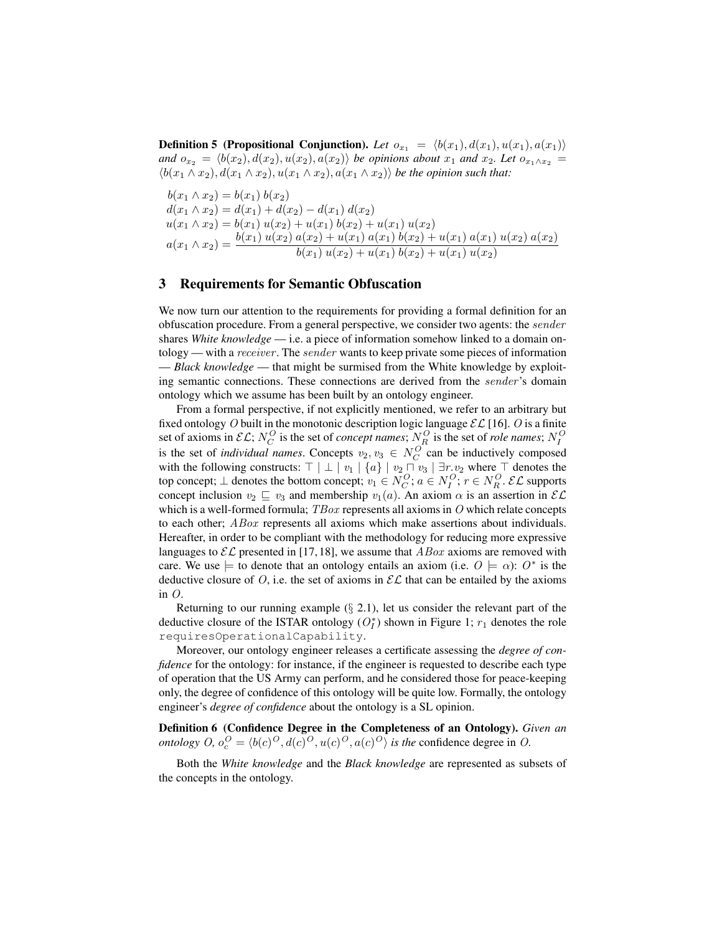**Definition 5 (Propositional Conjunction).** Let  $o_{x_1} = \langle b(x_1), d(x_1), u(x_1), a(x_1) \rangle$ *and*  $o_{x_2} = \langle b(x_2), d(x_2), u(x_2), a(x_2) \rangle$  *be opinions about*  $x_1$  *and*  $x_2$ *. Let*  $o_{x_1 \wedge x_2}$  =  $\langle b(x_1 \wedge x_2), d(x_1 \wedge x_2), u(x_1 \wedge x_2), a(x_1 \wedge x_2) \rangle$  *be the opinion such that:* 

 $b(x_1 \wedge x_2) = b(x_1) b(x_2)$  $d(x_1 \wedge x_2) = d(x_1) + d(x_2) - d(x_1) d(x_2)$  $u(x_1 \wedge x_2) = b(x_1) u(x_2) + u(x_1) b(x_2) + u(x_1) u(x_2)$  $a(x_1 \wedge x_2) = \frac{b(x_1) u(x_2) a(x_2) + u(x_1) a(x_1) b(x_2) + u(x_1) a(x_1) u(x_2) a(x_2)}{b(x_1) u(x_2) + u(x_1) b(x_2) + u(x_1) u(x_2)}$ 

# <span id="page-4-0"></span>3 Requirements for Semantic Obfuscation

We now turn our attention to the requirements for providing a formal definition for an obfuscation procedure. From a general perspective, we consider two agents: the sender shares *White knowledge* — i.e. a piece of information somehow linked to a domain ontology — with a *receiver*. The *sender* wants to keep private some pieces of information — *Black knowledge* — that might be surmised from the White knowledge by exploiting semantic connections. These connections are derived from the sender 's domain ontology which we assume has been built by an ontology engineer.

From a formal perspective, if not explicitly mentioned, we refer to an arbitrary but fixed ontology O built in the monotonic description logic language  $\mathcal{EL}[16]$  $\mathcal{EL}[16]$ . O is a finite set of axioms in  $\mathcal{EL}; N_C^O$  is the set of *concept names*;  $N_R^O$  is the set of *role names*;  $N_I^O$ is the set of *individual names*. Concepts  $v_2, v_3 \in N_C^O$  can be inductively composed with the following constructs:  $\top | \perp | v_1 | \{a\} | v_2 \sqcap v_3 | \exists r.v_2$  where  $\top$  denotes the top concept;  $\bot$  denotes the bottom concept;  $v_1 \in N_C^O$ ;  $a \in N_I^O$ ;  $r \in N_R^O$ . EL supports concept inclusion  $v_2 \subseteq v_3$  and membership  $v_1(a)$ . An axiom  $\alpha$  is an assertion in  $\mathcal{EL}$ which is a well-formed formula;  $TBox$  represents all axioms in O which relate concepts to each other; ABox represents all axioms which make assertions about individuals. Hereafter, in order to be compliant with the methodology for reducing more expressive languages to  $\mathcal{EL}$  presented in [\[17,](#page-11-16) [18\]](#page-12-0), we assume that  $ABox$  axioms are removed with care. We use  $\models$  to denote that an ontology entails an axiom (i.e.  $O \models \alpha$ ):  $O^*$  is the deductive closure of O, i.e. the set of axioms in  $\mathcal{EL}$  that can be entailed by the axioms in  $O$ .

Returning to our running example  $(\S$  [2.1\)](#page-1-2), let us consider the relevant part of the deductive closure of the ISTAR ontology  $(O_I^*)$  shown in Figure [1;](#page-5-0)  $r_1$  denotes the role requiresOperationalCapability.

Moreover, our ontology engineer releases a certificate assessing the *degree of confidence* for the ontology: for instance, if the engineer is requested to describe each type of operation that the US Army can perform, and he considered those for peace-keeping only, the degree of confidence of this ontology will be quite low. Formally, the ontology engineer's *degree of confidence* about the ontology is a SL opinion.

Definition 6 (Confidence Degree in the Completeness of an Ontology). *Given an ontology*  $O$ ,  $o_c^O = \langle b(c)^O, d(c)^O, u(c)^O, a(c)^O \rangle$  *is the confidence degree in O.* 

Both the *White knowledge* and the *Black knowledge* are represented as subsets of the concepts in the ontology.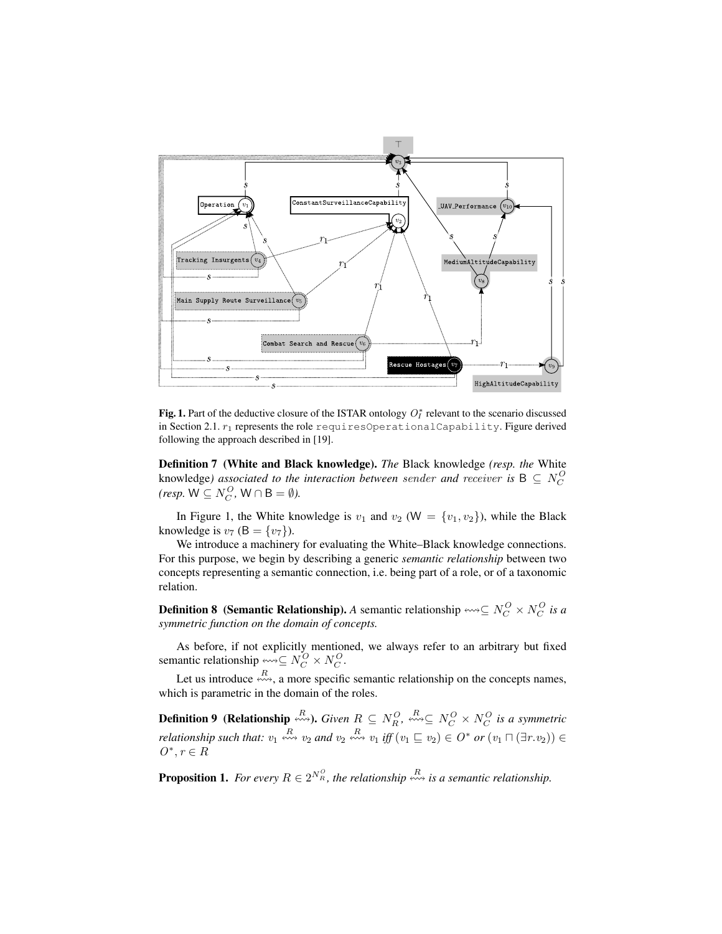

<span id="page-5-0"></span>Fig. 1. Part of the deductive closure of the ISTAR ontology  $O_I^*$  relevant to the scenario discussed in Section [2.1.](#page-1-2)  $r_1$  represents the role requires Operational Capability. Figure derived following the approach described in [\[19\]](#page-12-1).

Definition 7 (White and Black knowledge). *The* Black knowledge *(resp. the* White knowledge*)* associated to the interaction between sender and receiver is  $B \subseteq N_C^O$  *(resp.*  $W \subseteq N_C^O$ ,  $W \cap B = \emptyset$ *).* 

In Figure [1,](#page-5-0) the White knowledge is  $v_1$  and  $v_2$  (W = { $v_1, v_2$ }), while the Black knowledge is  $v_7$  (B = { $v_7$ }).

We introduce a machinery for evaluating the White–Black knowledge connections. For this purpose, we begin by describing a generic *semantic relationship* between two concepts representing a semantic connection, i.e. being part of a role, or of a taxonomic relation.

**Definition 8** (Semantic Relationship). *A* semantic relationship  $\rightsquigarrow \subseteq N_C^O \times N_C^O$  is a *symmetric function on the domain of concepts.*

As before, if not explicitly mentioned, we always refer to an arbitrary but fixed semantic relationship  $\stackrel{\sim}{\leadsto} \subseteq N_C^O \times N_C^O$ .

Let us introduce  $\stackrel{R}{\longleftrightarrow}$ , a more specific semantic relationship on the concepts names, which is parametric in the domain of the roles.

**Definition 9** (Relationship  $\stackrel{R}{\leftrightsquigarrow}$ ). *Given*  $R \subseteq N_R^O$ ,  $\stackrel{R}{\leftrightsquigarrow} \subseteq N_C^O \times N_C^O$  is a symmetric *relationship such that:*  $v_1 \stackrel{R}{\leftrightsquigarrow} v_2$  *and*  $v_2 \stackrel{R}{\leftrightsquigarrow} v_1$  *iff*  $(v_1 \sqsubseteq v_2) \in O^*$  *or*  $(v_1 \sqcap (\exists r.v_2)) \in$  $O^*, r \in R$ 

**Proposition 1.** For every  $R \in 2^{N_R^O}$ , the relationship  $\stackrel{R}{\leadsto}$  is a semantic relationship.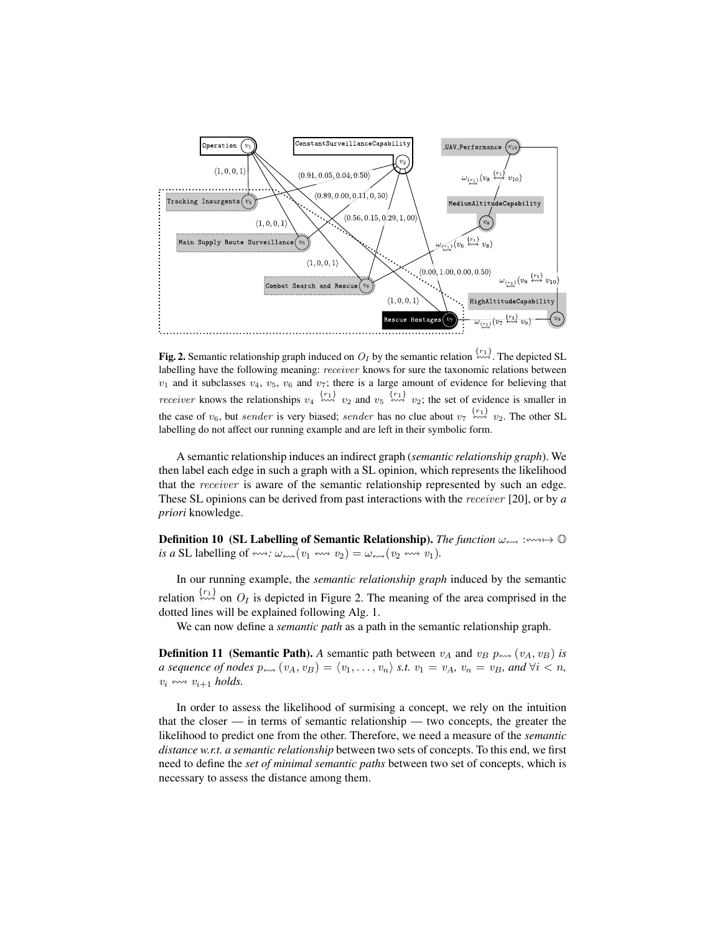

<span id="page-6-0"></span>**Fig. 2.** Semantic relationship graph induced on  $O_I$  by the semantic relation  $\stackrel{\{r_1\}}{\leftrightarrow}$ . The depicted SL labelling have the following meaning: receiver knows for sure the taxonomic relations between  $v_1$  and it subclasses  $v_4$ ,  $v_5$ ,  $v_6$  and  $v_7$ ; there is a large amount of evidence for believing that *receiver* knows the relationships  $v_4 \stackrel{\{r_1\}}{\leftrightsquigarrow} v_2$  and  $v_5 \stackrel{\{r_1\}}{\leftrightsquigarrow} v_2$ ; the set of evidence is smaller in the case of  $v_6$ , but *sender* is very biased; *sender* has no clue about  $v_7 \stackrel{\{r_1\}}{\leftrightarrow\!\sim} v_2$ . The other SL labelling do not affect our running example and are left in their symbolic form.

A semantic relationship induces an indirect graph (*semantic relationship graph*). We then label each edge in such a graph with a SL opinion, which represents the likelihood that the receiver is aware of the semantic relationship represented by such an edge. These SL opinions can be derived from past interactions with the receiver [\[20\]](#page-12-2), or by *a priori* knowledge.

**Definition 10** (SL Labelling of Semantic Relationship). The function  $\omega_{\text{env}} : \text{env} \to \mathbb{O}$ *is a* SL labelling of  $\iff : \omega_{\iff}(v_1 \iff v_2) = \omega_{\iff}(v_2 \iff v_1)$ .

In our running example, the *semantic relationship graph* induced by the semantic relation  $\stackrel{\{r_1\}}{\leftrightarrow}$  on  $O_I$  is depicted in Figure [2.](#page-6-0) The meaning of the area comprised in the dotted lines will be explained following Alg. [1.](#page-9-1)

We can now define a *semantic path* as a path in the semantic relationship graph.

**Definition 11 (Semantic Path).** A semantic path between  $v_A$  and  $v_B$   $p_{\text{env}}$  ( $v_A$ ,  $v_B$ ) *is a sequence of nodes*  $p_{\text{env}}(v_A, v_B) = \langle v_1, \ldots, v_n \rangle$  *s.t.*  $v_1 = v_A$ *,*  $v_n = v_B$ *, and*  $\forall i < n$ *,*  $v_i \leftrightarrow v_{i+1}$  *holds.* 

<span id="page-6-1"></span>In order to assess the likelihood of surmising a concept, we rely on the intuition that the closer — in terms of semantic relationship — two concepts, the greater the likelihood to predict one from the other. Therefore, we need a measure of the *semantic distance w.r.t. a semantic relationship* between two sets of concepts. To this end, we first need to define the *set of minimal semantic paths* between two set of concepts, which is necessary to assess the distance among them.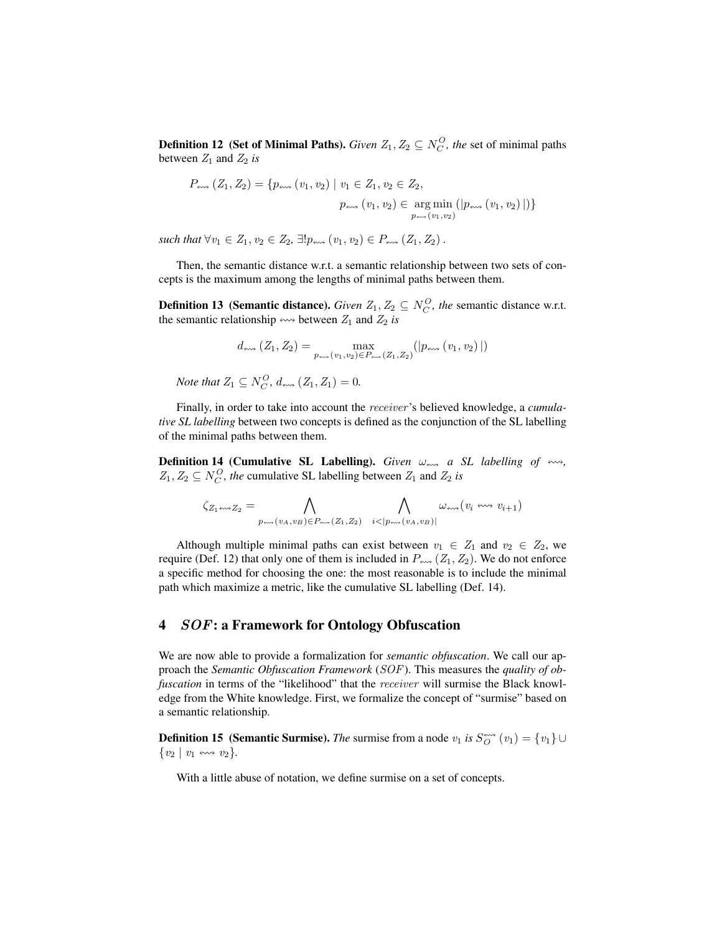**Definition 12** (Set of Minimal Paths). *Given*  $Z_1, Z_2 \subseteq N_C^O$ , the set of minimal paths between  $Z_1$  and  $Z_2$  *is* 

$$
P_{\text{env}}(Z_1, Z_2) = \{p_{\text{env}}(v_1, v_2) \mid v_1 \in Z_1, v_2 \in Z_2, p_{\text{env}}(v_1, v_2) \in \underset{p_{\text{env}}(v_1, v_2)}{\text{arg min}} (|p_{\text{env}}(v_1, v_2)|)\}
$$

 $such that \forall v_1 \in Z_1, v_2 \in Z_2, \exists! p_{\text{env}} (v_1, v_2) \in P_{\text{env}} (Z_1, Z_2)$ .

Then, the semantic distance w.r.t. a semantic relationship between two sets of concepts is the maximum among the lengths of minimal paths between them.

**Definition 13** (Semantic distance). *Given*  $Z_1, Z_2 \subseteq N_C^O$ , the semantic distance w.r.t. the semantic relationship  $\leftrightarrow$  between  $Z_1$  and  $Z_2$  *is* 

$$
d_{\text{env}}\left(Z_1, Z_2\right) = \max_{p_{\text{env}}\left(v_1, v_2\right) \in P_{\text{env}}\left(Z_1, Z_2\right)}\left(\left|p_{\text{env}}\left(v_1, v_2\right)\right|\right)
$$

*Note that*  $Z_1 \subseteq N_C^O$ ,  $d_{\text{env}}(Z_1, Z_1) = 0$ .

Finally, in order to take into account the receiver 's believed knowledge, a *cumulative SL labelling* between two concepts is defined as the conjunction of the SL labelling of the minimal paths between them.

<span id="page-7-1"></span>**Definition 14 (Cumulative SL Labelling).** *Given*  $\omega_{\text{av}}$  *a SL labelling of*  $\leftrightarrow$ ,  $Z_1, Z_2 \subseteq N_C^O$ , the cumulative SL labelling between  $Z_1$  and  $Z_2$  *is* 

$$
\zeta_{Z_1\leftrightsquigarrow Z_2}=\bigwedge_{p_{\leftrightsquigarrow}(v_A,v_B)\in P_{\text{max}}(Z_1,Z_2)}\bigwedge_{i<|p_{\text{max}}(v_A,v_B)|}\omega_{\text{max}}(v_i\leftrightsquigarrow v_{i+1})
$$

Although multiple minimal paths can exist between  $v_1 \in Z_1$  and  $v_2 \in Z_2$ , we require (Def. [12\)](#page-6-1) that only one of them is included in  $P_{\text{av}}$  ( $Z_1, Z_2$ ). We do not enforce a specific method for choosing the one: the most reasonable is to include the minimal path which maximize a metric, like the cumulative SL labelling (Def. [14\)](#page-7-1).

## <span id="page-7-0"></span>4 SOF: a Framework for Ontology Obfuscation

We are now able to provide a formalization for *semantic obfuscation*. We call our approach the *Semantic Obfuscation Framework* (SOF). This measures the *quality of obfuscation* in terms of the "likelihood" that the *receiver* will surmise the Black knowledge from the White knowledge. First, we formalize the concept of "surmise" based on a semantic relationship.

**Definition 15 (Semantic Surmise).** *The* surmise from a node  $v_1$  *is*  $S_O^{***}(v_1) = \{v_1\} \cup$  $\{v_2 \mid v_1 \leftrightarrow v_2\}.$ 

With a little abuse of notation, we define surmise on a set of concepts.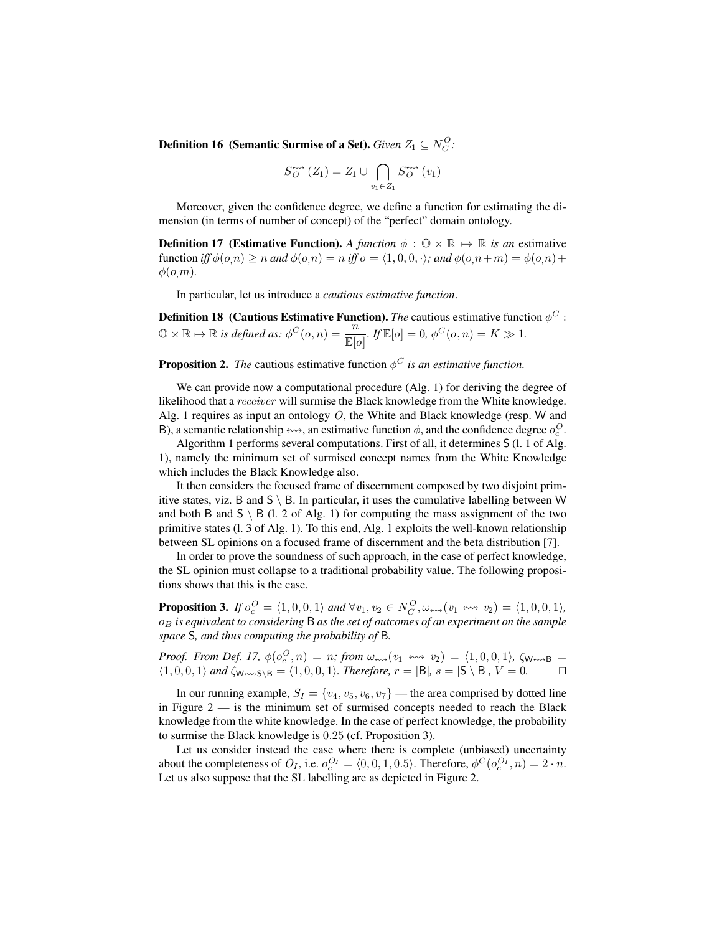**Definition 16** (Semantic Surmise of a Set). *Given*  $Z_1 \subseteq N_C^O$ :

$$
S_O^{\text{env}}(Z_1) = Z_1 \cup \bigcap_{v_1 \in Z_1} S_O^{\text{env}}(v_1)
$$

Moreover, given the confidence degree, we define a function for estimating the dimension (in terms of number of concept) of the "perfect" domain ontology.

<span id="page-8-0"></span>**Definition 17** (Estimative Function). A function  $\phi : \mathbb{O} \times \mathbb{R} \mapsto \mathbb{R}$  is an estimative function *iff*  $\phi(o,n) \ge n$  *and*  $\phi(o,n) = n$  *iff*  $o = (1, 0, 0, \cdot)$ *; and*  $\phi(o,n+m) = \phi(o,n) +$  $\phi(o,m)$ .

In particular, let us introduce a *cautious estimative function*.

**Definition 18** (Cautious Estimative Function). *The* cautious estimative function  $\phi^C$ :  $\mathbb{O} \times \mathbb{R} \mapsto \mathbb{R}$  *is defined as:*  $\phi^C(o, n) = \frac{n}{\mathbb{E}[o]}$ .  $\psi^E[o] = 0$ ,  $\phi^C(o, n) = K \gg 1$ .

**Proposition 2.** The cautious estimative function  $\phi^C$  *is an estimative function.* 

We can provide now a computational procedure (Alg. [1\)](#page-9-1) for deriving the degree of likelihood that a receiver will surmise the Black knowledge from the White knowledge. Alg. [1](#page-9-1) requires as input an ontology  $O$ , the White and Black knowledge (resp. W and B), a semantic relationship  $\leftrightarrow$ , an estimative function  $\phi$ , and the confidence degree  $o_c^O$ .

Algorithm [1](#page-9-1) performs several computations. First of all, it determines S (l. 1 of Alg. [1\)](#page-9-1), namely the minimum set of surmised concept names from the White Knowledge which includes the Black Knowledge also.

It then considers the focused frame of discernment composed by two disjoint primitive states, viz. B and  $S \setminus B$ . In particular, it uses the cumulative labelling between W and both B and  $S \setminus B$  (l. 2 of Alg. [1\)](#page-9-1) for computing the mass assignment of the two primitive states (l. 3 of Alg. [1\)](#page-9-1). To this end, Alg. [1](#page-9-1) exploits the well-known relationship between SL opinions on a focused frame of discernment and the beta distribution [\[7\]](#page-11-6).

In order to prove the soundness of such approach, in the case of perfect knowledge, the SL opinion must collapse to a traditional probability value. The following propositions shows that this is the case.

<span id="page-8-1"></span>**Proposition 3.** If  $o_c^O = \langle 1, 0, 0, 1 \rangle$  and  $\forall v_1, v_2 \in N_C^O$ ,  $\omega_{\text{env}}(v_1 \leftrightarrow v_2) = \langle 1, 0, 0, 1 \rangle$ , o<sup>B</sup> *is equivalent to considering* B *as the set of outcomes of an experiment on the sample space* S*, and thus computing the probability of* B*.*

*Proof. From Def.* [17,](#page-8-0)  $\phi(o_c^O, n) = n$ ; from  $\omega_{\text{env}}(v_1 \leftrightarrow v_2) = \langle 1, 0, 0, 1 \rangle$ ,  $\zeta_{\text{W}\text{env}}$ B =  $\langle 1, 0, 0, 1 \rangle$  and  $\zeta_{\mathsf{W}\leftarrow \mathsf{S}\setminus \mathsf{B}} = \langle 1, 0, 0, 1 \rangle$ *. Therefore,*  $r = |\mathsf{B}|$ *, s* =  $|\mathsf{S}\setminus \mathsf{B}|$ *, V* = 0*.*  $\Box$ 

In our running example,  $S_I = \{v_4, v_5, v_6, v_7\}$  — the area comprised by dotted line in Figure  $2 -$  is the minimum set of surmised concepts needed to reach the Black knowledge from the white knowledge. In the case of perfect knowledge, the probability to surmise the Black knowledge is 0.25 (cf. Proposition [3\)](#page-8-1).

Let us consider instead the case where there is complete (unbiased) uncertainty about the completeness of  $O_I$ , i.e.  $o_c^{O_I} = \langle 0, 0, 1, 0.5 \rangle$ . Therefore,  $\phi^C(o_c^{O_I}, n) = 2 \cdot n$ . Let us also suppose that the SL labelling are as depicted in Figure [2.](#page-6-0)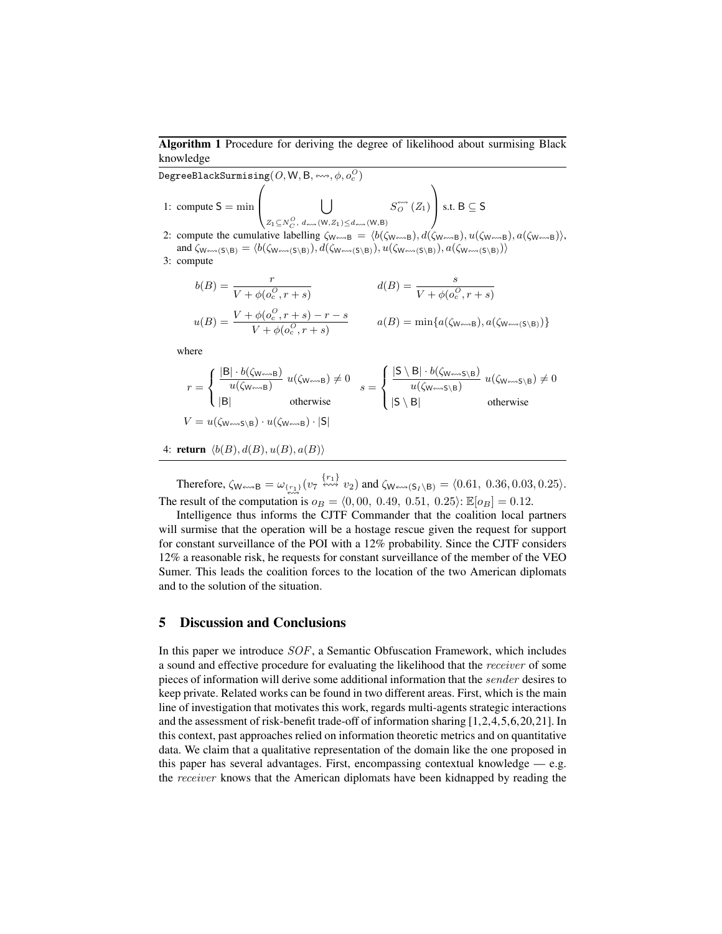## <span id="page-9-1"></span>Algorithm 1 Procedure for deriving the degree of likelihood about surmising Black knowledge

 $\mathtt{DegreeBlackSurmissing}(O, \mathsf{W}, \mathsf{B}, \leftrightsquigarrow, \phi, o^O_c)$ 1: compute  $S = \min$  $\sqrt{ }$  $\bigcup$  $Z_1\mathcal{\subseteq} N^O_C, \ d$  and  $(\mathsf{W},Z_1)$   $\leq$   $d$  and  $(\mathsf{W},\mathsf{B})$  $S^{\leftrightarrow\leftrightarrow}_{O}(Z_1)$  $\setminus$ S.t. B  $≤$  S

2: compute the cumulative labelling  $\zeta_{W \leftrightarrow B} = \langle b(\zeta_{W \leftrightarrow B}), d(\zeta_{W \leftrightarrow B}), u(\zeta_{W \leftrightarrow B}), a(\zeta_{W \leftrightarrow B})\rangle$ , and  $\zeta_{W\leftrightarrow (S\setminus B)} = \langle b(\zeta_{W\leftrightarrow (S\setminus B)}), d(\zeta_{W\leftrightarrow (S\setminus B)}), u(\zeta_{W\leftrightarrow (S\setminus B)}), a(\zeta_{W\leftrightarrow (S\setminus B)})\rangle$ 

3: compute

$$
b(B) = \frac{r}{V + \phi(o_c^O, r + s)}
$$
  
\n
$$
u(B) = \frac{V + \phi(o_c^O, r + s) - r - s}{V + \phi(o_c^O, r + s)}
$$
  
\n
$$
a(B) = \min\{a(\zeta_{W \leftrightarrow B}), a(\zeta_{W \leftrightarrow \neg}(\zeta \wedge B))\}
$$

where

$$
r = \begin{cases} \frac{|\mathbf{B}| \cdot b(\zeta_{\mathsf{W}\leftrightarrow\mathsf{B}})}{u(\zeta_{\mathsf{W}\leftrightarrow\mathsf{B}})} u(\zeta_{\mathsf{W}\leftrightarrow\mathsf{B}}) \neq 0 & s = \begin{cases} \frac{|\mathbf{S} \setminus \mathbf{B}| \cdot b(\zeta_{\mathsf{W}\leftrightarrow\mathsf{S}\setminus\mathbf{B}})}{u(\zeta_{\mathsf{W}\leftrightarrow\mathsf{S}\setminus\mathbf{B}})} u(\zeta_{\mathsf{W}\leftrightarrow\mathsf{S}\setminus\mathbf{B}}) \neq 0 \\ |\mathbf{S} \setminus \mathbf{B}| & \text{otherwise} \end{cases}
$$
  

$$
V = u(\zeta_{\mathsf{W}\leftrightarrow\mathsf{S}\setminus\mathbf{B}}) \cdot u(\zeta_{\mathsf{W}\leftrightarrow\mathbf{B}}) \cdot |\mathbf{S}|
$$

4: return  $\langle b(B), d(B), u(B), a(B)\rangle$ 

Therefore,  $\zeta_{\mathsf{W}\!\mapsto\!\mathsf{B}} = \omega_{\{r_1\}}(v_7 \stackrel{\{r_1\}}{\leftrightsquigarrow} v_2)$  and  $\zeta_{\mathsf{W}\!\mapsto\!\mathsf{B}}(s_1 \setminus B) = \langle 0.61, 0.36, 0.03, 0.25 \rangle$ . The result of the computation is  $o_B = (0, 00, 0.49, 0.51, 0.25)$ :  $\mathbb{E}[o_B] = 0.12$ .

Intelligence thus informs the [CJTF](#page-0-1) Commander that the coalition local partners will surmise that the operation will be a hostage rescue given the request for support for constant surveillance of the [POI](#page-0-1) with a 12% probability. Since the [CJTF](#page-0-1) considers 12% a reasonable risk, he requests for constant surveillance of the member of the [VEO](#page-0-1) Sumer. This leads the coalition forces to the location of the two American diplomats and to the solution of the situation.

# <span id="page-9-0"></span>5 Discussion and Conclusions

In this paper we introduce SOF, a Semantic Obfuscation Framework, which includes a sound and effective procedure for evaluating the likelihood that the receiver of some pieces of information will derive some additional information that the sender desires to keep private. Related works can be found in two different areas. First, which is the main line of investigation that motivates this work, regards multi-agents strategic interactions and the assessment of risk-benefit trade-off of information sharing [\[1,](#page-11-0)[2,](#page-11-1)[4,](#page-11-3)[5,](#page-11-4)[6,](#page-11-5)[20](#page-12-2)[,21\]](#page-12-3). In this context, past approaches relied on information theoretic metrics and on quantitative data. We claim that a qualitative representation of the domain like the one proposed in this paper has several advantages. First, encompassing contextual knowledge — e.g. the receiver knows that the American diplomats have been kidnapped by reading the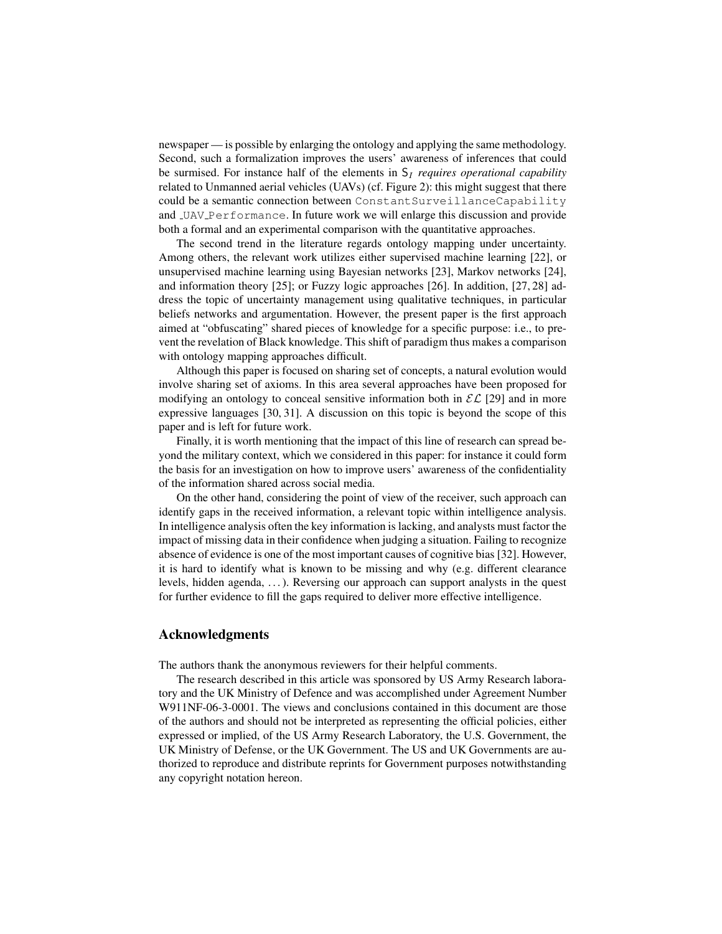newspaper — is possible by enlarging the ontology and applying the same methodology. Second, such a formalization improves the users' awareness of inferences that could be surmised. For instance half of the elements in  $S_I$  *requires operational capability* related to [Unmanned aerial vehicles \(UAVs\)](#page-0-1) (cf. Figure [2\)](#page-6-0): this might suggest that there could be a semantic connection between ConstantSurveillanceCapability and UAV Performance. In future work we will enlarge this discussion and provide both a formal and an experimental comparison with the quantitative approaches.

The second trend in the literature regards ontology mapping under uncertainty. Among others, the relevant work utilizes either supervised machine learning [\[22\]](#page-12-4), or unsupervised machine learning using Bayesian networks [\[23\]](#page-12-5), Markov networks [\[24\]](#page-12-6), and information theory [\[25\]](#page-12-7); or Fuzzy logic approaches [\[26\]](#page-12-8). In addition, [\[27,](#page-12-9) [28\]](#page-12-10) address the topic of uncertainty management using qualitative techniques, in particular beliefs networks and argumentation. However, the present paper is the first approach aimed at "obfuscating" shared pieces of knowledge for a specific purpose: i.e., to prevent the revelation of Black knowledge. This shift of paradigm thus makes a comparison with ontology mapping approaches difficult.

Although this paper is focused on sharing set of concepts, a natural evolution would involve sharing set of axioms. In this area several approaches have been proposed for modifying an ontology to conceal sensitive information both in  $\mathcal{EL}[29]$  $\mathcal{EL}[29]$  and in more expressive languages [\[30,](#page-12-12) [31\]](#page-12-13). A discussion on this topic is beyond the scope of this paper and is left for future work.

Finally, it is worth mentioning that the impact of this line of research can spread beyond the military context, which we considered in this paper: for instance it could form the basis for an investigation on how to improve users' awareness of the confidentiality of the information shared across social media.

On the other hand, considering the point of view of the receiver, such approach can identify gaps in the received information, a relevant topic within intelligence analysis. In intelligence analysis often the key information is lacking, and analysts must factor the impact of missing data in their confidence when judging a situation. Failing to recognize absence of evidence is one of the most important causes of cognitive bias [\[32\]](#page-12-14). However, it is hard to identify what is known to be missing and why (e.g. different clearance levels, hidden agenda, . . . ). Reversing our approach can support analysts in the quest for further evidence to fill the gaps required to deliver more effective intelligence.

#### Acknowledgments

The authors thank the anonymous reviewers for their helpful comments.

The research described in this article was sponsored by US Army Research laboratory and the UK Ministry of Defence and was accomplished under Agreement Number W911NF-06-3-0001. The views and conclusions contained in this document are those of the authors and should not be interpreted as representing the official policies, either expressed or implied, of the US Army Research Laboratory, the U.S. Government, the UK Ministry of Defense, or the UK Government. The US and UK Governments are authorized to reproduce and distribute reprints for Government purposes notwithstanding any copyright notation hereon.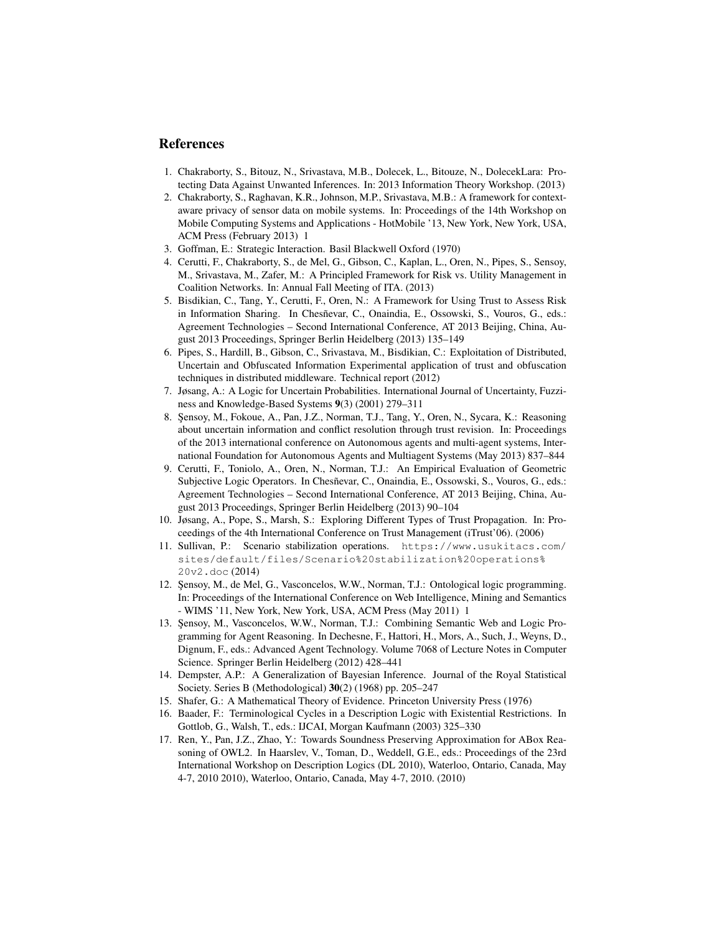## References

- <span id="page-11-0"></span>1. Chakraborty, S., Bitouz, N., Srivastava, M.B., Dolecek, L., Bitouze, N., DolecekLara: Protecting Data Against Unwanted Inferences. In: 2013 Information Theory Workshop. (2013)
- <span id="page-11-1"></span>2. Chakraborty, S., Raghavan, K.R., Johnson, M.P., Srivastava, M.B.: A framework for contextaware privacy of sensor data on mobile systems. In: Proceedings of the 14th Workshop on Mobile Computing Systems and Applications - HotMobile '13, New York, New York, USA, ACM Press (February 2013) 1
- <span id="page-11-2"></span>3. Goffman, E.: Strategic Interaction. Basil Blackwell Oxford (1970)
- <span id="page-11-3"></span>4. Cerutti, F., Chakraborty, S., de Mel, G., Gibson, C., Kaplan, L., Oren, N., Pipes, S., Sensoy, M., Srivastava, M., Zafer, M.: A Principled Framework for Risk vs. Utility Management in Coalition Networks. In: Annual Fall Meeting of ITA. (2013)
- <span id="page-11-4"></span>5. Bisdikian, C., Tang, Y., Cerutti, F., Oren, N.: A Framework for Using Trust to Assess Risk in Information Sharing. In Chesñevar, C., Onaindia, E., Ossowski, S., Vouros, G., eds.: Agreement Technologies – Second International Conference, AT 2013 Beijing, China, August 2013 Proceedings, Springer Berlin Heidelberg (2013) 135–149
- <span id="page-11-5"></span>6. Pipes, S., Hardill, B., Gibson, C., Srivastava, M., Bisdikian, C.: Exploitation of Distributed, Uncertain and Obfuscated Information Experimental application of trust and obfuscation techniques in distributed middleware. Technical report (2012)
- <span id="page-11-6"></span>7. Jøsang, A.: A Logic for Uncertain Probabilities. International Journal of Uncertainty, Fuzziness and Knowledge-Based Systems 9(3) (2001) 279–311
- <span id="page-11-7"></span>8. Sensoy, M., Fokoue, A., Pan, J.Z., Norman, T.J., Tang, Y., Oren, N., Sycara, K.: Reasoning about uncertain information and conflict resolution through trust revision. In: Proceedings of the 2013 international conference on Autonomous agents and multi-agent systems, International Foundation for Autonomous Agents and Multiagent Systems (May 2013) 837–844
- <span id="page-11-8"></span>9. Cerutti, F., Toniolo, A., Oren, N., Norman, T.J.: An Empirical Evaluation of Geometric Subjective Logic Operators. In Chesñevar, C., Onaindia, E., Ossowski, S., Vouros, G., eds.: Agreement Technologies – Second International Conference, AT 2013 Beijing, China, August 2013 Proceedings, Springer Berlin Heidelberg (2013) 90–104
- <span id="page-11-9"></span>10. Jøsang, A., Pope, S., Marsh, S.: Exploring Different Types of Trust Propagation. In: Proceedings of the 4th International Conference on Trust Management (iTrust'06). (2006)
- <span id="page-11-10"></span>11. Sullivan, P.: Scenario stabilization operations. [https://www.usukitacs.com/](https://www.usukitacs.com/sites/default/files/Scenario%20stabilization%20operations%20v2.doc) [sites/default/files/Scenario%20stabilization%20operations%](https://www.usukitacs.com/sites/default/files/Scenario%20stabilization%20operations%20v2.doc) [20v2.doc](https://www.usukitacs.com/sites/default/files/Scenario%20stabilization%20operations%20v2.doc) (2014)
- <span id="page-11-11"></span>12. Şensoy, M., de Mel, G., Vasconcelos, W.W., Norman, T.J.: Ontological logic programming. In: Proceedings of the International Conference on Web Intelligence, Mining and Semantics - WIMS '11, New York, New York, USA, ACM Press (May 2011) 1
- <span id="page-11-12"></span>13. Şensoy, M., Vasconcelos, W.W., Norman, T.J.: Combining Semantic Web and Logic Programming for Agent Reasoning. In Dechesne, F., Hattori, H., Mors, A., Such, J., Weyns, D., Dignum, F., eds.: Advanced Agent Technology. Volume 7068 of Lecture Notes in Computer Science. Springer Berlin Heidelberg (2012) 428–441
- <span id="page-11-13"></span>14. Dempster, A.P.: A Generalization of Bayesian Inference. Journal of the Royal Statistical Society. Series B (Methodological) 30(2) (1968) pp. 205–247
- <span id="page-11-14"></span>15. Shafer, G.: A Mathematical Theory of Evidence. Princeton University Press (1976)
- <span id="page-11-15"></span>16. Baader, F.: Terminological Cycles in a Description Logic with Existential Restrictions. In Gottlob, G., Walsh, T., eds.: IJCAI, Morgan Kaufmann (2003) 325–330
- <span id="page-11-16"></span>17. Ren, Y., Pan, J.Z., Zhao, Y.: Towards Soundness Preserving Approximation for ABox Reasoning of OWL2. In Haarslev, V., Toman, D., Weddell, G.E., eds.: Proceedings of the 23rd International Workshop on Description Logics (DL 2010), Waterloo, Ontario, Canada, May 4-7, 2010 2010), Waterloo, Ontario, Canada, May 4-7, 2010. (2010)